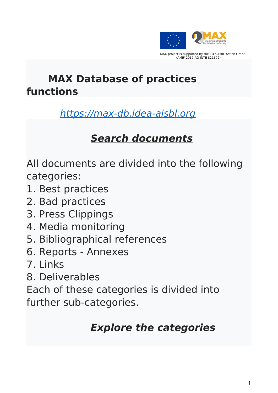

(AMIF-2017-AG-INTE 821672)

**MAX Database of practices functions**

### [https://max-db.idea-aisbl.org](https://max-db.idea-aisbl.org/)

## **Search documents**

All documents are divided into the following categories:

- 1. Best practices
- 2. Bad practices
- 3. Press Clippings
- 4. Media monitoring
- 5. Bibliographical references
- 6. Reports Annexes
- 7. Links
- 8. Deliverables

Each of these categories is divided into further sub-categories.

### **Explore the categories**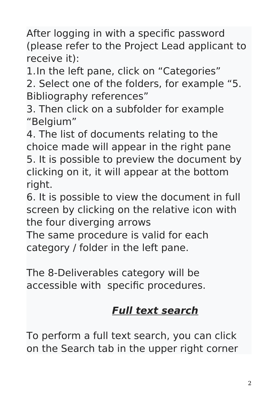After logging in with a specific password (please refer to the Project Lead applicant to receive it):

1.In the left pane, click on "Categories"

2. Select one of the folders, for example "5. Bibliography references"

3. Then click on a subfolder for example "Belgium"

4. The list of documents relating to the choice made will appear in the right pane 5. It is possible to preview the document by clicking on it, it will appear at the bottom right.

6. It is possible to view the document in full screen by clicking on the relative icon with the four diverging arrows

The same procedure is valid for each category / folder in the left pane.

The 8-Deliverables category will be accessible with specific procedures.

# **Full text search**

To perform a full text search, you can click on the Search tab in the upper right corner